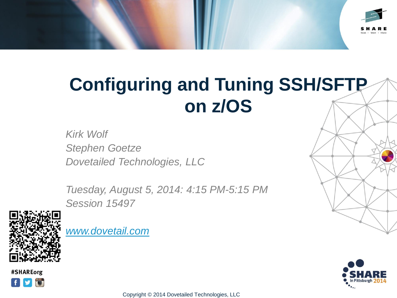

# **Configuring and Tuning SSH/SFTP on z/OS**

*Kirk Wolf Stephen Goetze Dovetailed Technologies, LLC*

*Tuesday, August 5, 2014: 4:15 PM-5:15 PM Session 15497*



*[www.dovetail.com](http://www.dovetail.com/)*



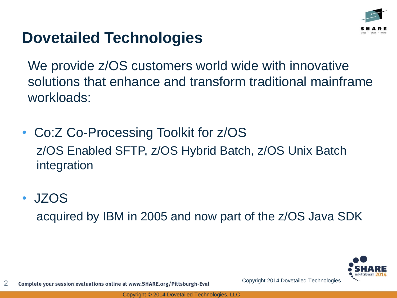

### **Dovetailed Technologies**

We provide  $z/OS$  customers world wide with innovative solutions that enhance and transform traditional mainframe workloads:

- Co:Z Co-Processing Toolkit for z/OS z/OS Enabled SFTP, z/OS Hybrid Batch, z/OS Unix Batch integration
- JZOS

acquired by IBM in 2005 and now part of the z/OS Java SDK

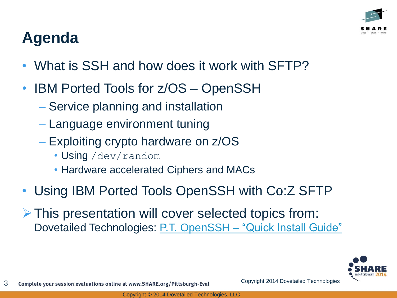# **Agenda**

- What is SSH and how does it work with SFTP?
- **IBM Ported Tools for z/OS OpenSSH** 
	- Service planning and installation
	- Language environment tuning
	- Exploiting crypto hardware on z/OS
		- Using /dev/random
		- Hardware accelerated Ciphers and MACs
- Using IBM Ported Tools OpenSSH with Co:Z SFTP
- $\triangleright$  This presentation will cover selected topics from: Dovetailed Technologies: [P.T. OpenSSH](http://dovetail.com/docs/pt-quick-inst/pt-quick-inst-doc.pdf) [–](http://dovetail.com/docs/pt-quick-inst/pt-quick-inst-doc.pdf) ["Quick Install Guide"](http://dovetail.com/docs/pt-quick-inst/pt-quick-inst-doc.pdf)

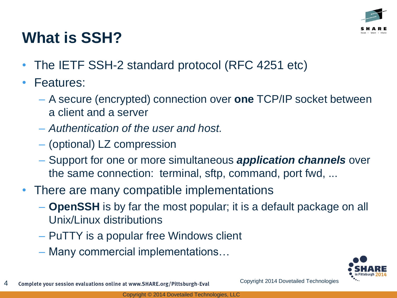

## **What is SSH?**

- The IETF SSH-2 standard protocol (RFC 4251 etc)
- Features:
	- A secure (encrypted) connection over **one** TCP/IP socket between a client and a server
	- *Authentication of the user and host.*
	- (optional) LZ compression
	- Support for one or more simultaneous *application channels* over the same connection: terminal, sftp, command, port fwd, ...
- There are many compatible implementations
	- **OpenSSH** is by far the most popular; it is a default package on all Unix/Linux distributions
	- PuTTY is a popular free Windows client
	- Many commercial implementations…

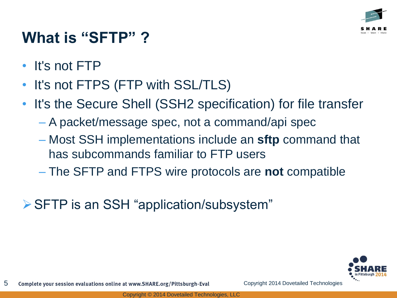

## **What is "SFTP" ?**

- It's not FTP
- It's not FTPS (FTP with SSL/TLS)
- It's the Secure Shell (SSH2 specification) for file transfer
	- A packet/message spec, not a command/api spec
	- Most SSH implementations include an **sftp** command that has subcommands familiar to FTP users
	- The SFTP and FTPS wire protocols are **not** compatible
- SFTP is an SSH "application/subsystem"

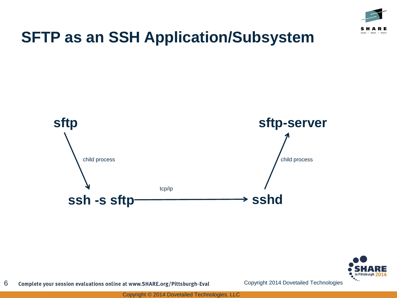

#### **SFTP as an SSH Application/Subsystem**





6 Complete your session evaluations online at www.SHARE.org/Pittsburgh-Eval Copyright 2014 Dovetailed Technologies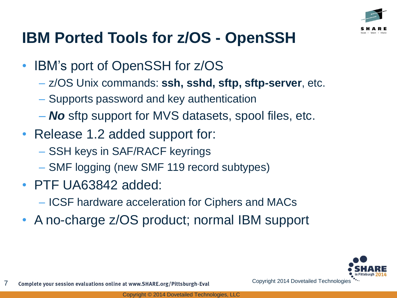

## **IBM Ported Tools for z/OS - OpenSSH**

- IBM's port of OpenSSH for z/OS
	- z/OS Unix commands: **ssh, sshd, sftp, sftp-server**, etc.
	- Supports password and key authentication
	- *No* sftp support for MVS datasets, spool files, etc.
- Release 1.2 added support for:
	- SSH keys in SAF/RACF keyrings
	- SMF logging (new SMF 119 record subtypes)
- PTF UA63842 added:
	- ICSF hardware acceleration for Ciphers and MACs
- A no-charge z/OS product; normal IBM support

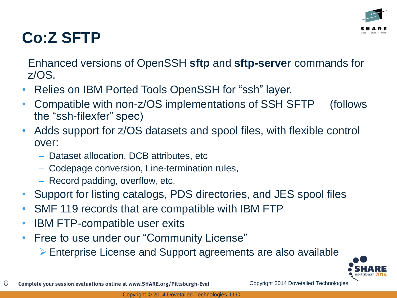

#### **Co:Z SFTP**

Enhanced versions of OpenSSH **sftp** and **sftp-server** commands for z/OS.

- Relies on IBM Ported Tools OpenSSH for "ssh" layer.
- Compatible with non-z/OS implementations of SSH SFTP (follows the "ssh-filexfer" spec)
- Adds support for z/OS datasets and spool files, with flexible control over:
	- Dataset allocation, DCB attributes, etc
	- Codepage conversion, Line-termination rules,
	- Record padding, overflow, etc.
- Support for listing catalogs, PDS directories, and JES spool files
- SMF 119 records that are compatible with IBM FTP
- **IBM FTP-compatible user exits**
- Free to use under our "Community License"
	- Enterprise License and Support agreements are also available

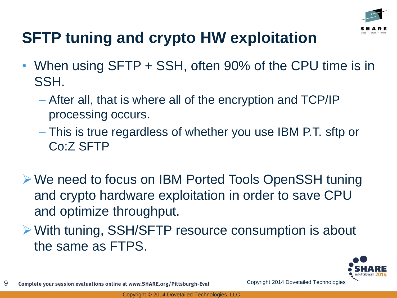

# **SFTP tuning and crypto HW exploitation**

- When using SFTP + SSH, often 90% of the CPU time is in SSH.
	- After all, that is where all of the encryption and TCP/IP processing occurs.
	- This is true regardless of whether you use IBM P.T. sftp or Co:Z SFTP
- We need to focus on IBM Ported Tools OpenSSH tuning and crypto hardware exploitation in order to save CPU and optimize throughput.
- With tuning, SSH/SFTP resource consumption is about the same as FTPS.

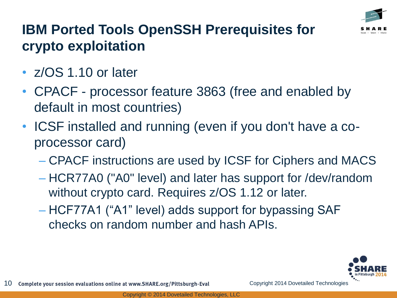

#### **IBM Ported Tools OpenSSH Prerequisites for crypto exploitation**

- z/OS 1.10 or later
- CPACF processor feature 3863 (free and enabled by default in most countries)
- ICSF installed and running (even if you don't have a coprocessor card)
	- CPACF instructions are used by ICSF for Ciphers and MACS
	- HCR77A0 ("A0" level) and later has support for /dev/random without crypto card. Requires z/OS 1.12 or later.
	- HCF77A1 ("A1" level) adds support for bypassing SAF checks on random number and hash APIs.

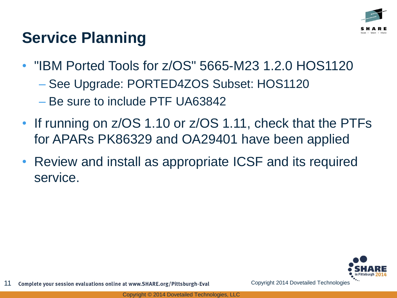

#### **Service Planning**

- "IBM Ported Tools for z/OS" 5665-M23 1.2.0 HOS1120
	- See Upgrade: PORTED4ZOS Subset: HOS1120
	- Be sure to include PTF UA63842
- If running on z/OS 1.10 or z/OS 1.11, check that the PTFs for APARs PK86329 and OA29401 have been applied
- Review and install as appropriate ICSF and its required service.

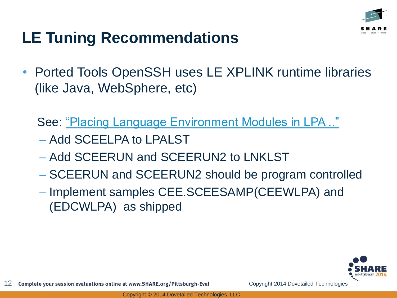

# **LE Tuning Recommendations**

• Ported Tools OpenSSH uses LE XPLINK runtime libraries (like Java, WebSphere, etc)

See: ["Placing Language Environment Modules in LPA .."](http://pic.dhe.ibm.com/infocenter/zos/v2r1/index.jsp?topic=/com.ibm.zos.v2r1.ceea500/plnilpa.htm)

- Add SCEELPA to LPALST
- Add SCEERUN and SCEERUN2 to LNKLST
- SCEERUN and SCEERUN2 should be program controlled
- Implement samples CEE.SCEESAMP(CEEWLPA) and (EDCWLPA) as shipped

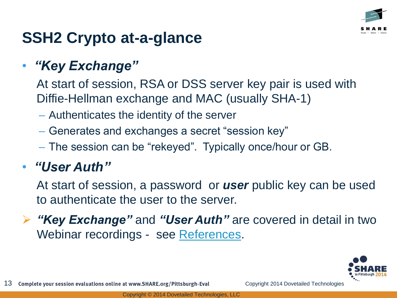

## **SSH2 Crypto at-a-glance**

#### • *"Key Exchange"*

At start of session, RSA or DSS server key pair is used with Diffie-Hellman exchange and MAC (usually SHA-1)

- Authenticates the identity of the server
- Generates and exchanges a secret "session key"
- The session can be "rekeyed". Typically once/hour or GB.

#### • *"User Auth"*

At start of session, a password or *user* public key can be used to authenticate the user to the server.

 *"Key Exchange"* and *"User Auth"* are covered in detail in two Webinar recordings - see [References.](#page-34-0)

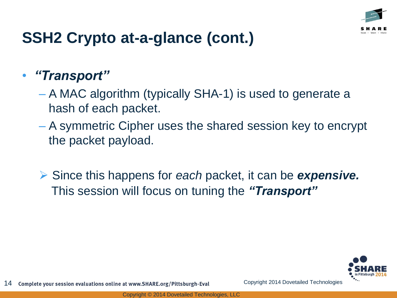

# **SSH2 Crypto at-a-glance (cont.)**

#### • *"Transport"*

- A MAC algorithm (typically SHA-1) is used to generate a hash of each packet.
- A symmetric Cipher uses the shared session key to encrypt the packet payload.
- Since this happens for *each* packet, it can be *expensive.* This session will focus on tuning the *"Transport"*

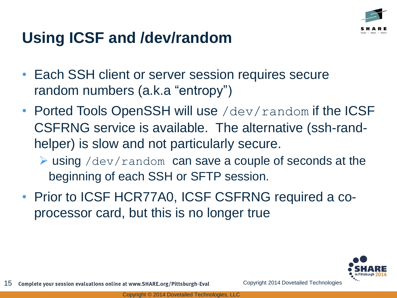

# **Using ICSF and /dev/random**

- Each SSH client or server session requires secure random numbers (a.k.a "entropy")
- Ported Tools OpenSSH will use /dev/random if the ICSF CSFRNG service is available. The alternative (ssh-randhelper) is slow and not particularly secure.
	- $\triangleright$  using /dev/random can save a couple of seconds at the beginning of each SSH or SFTP session.
- Prior to ICSF HCR77A0, ICSF CSFRNG required a coprocessor card, but this is no longer true

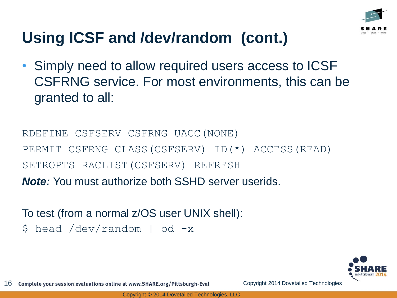

# **Using ICSF and /dev/random (cont.)**

• Simply need to allow required users access to ICSF CSFRNG service. For most environments, this can be granted to all:

RDEFINE CSFSERV CSFRNG UACC(NONE) PERMIT CSFRNG CLASS(CSFSERV) ID(\*) ACCESS(READ) SETROPTS RACLIST(CSFSERV) REFRESH *Note:* You must authorize both SSHD server userids.

To test (from a normal z/OS user UNIX shell): \$ head /dev/random | od -x

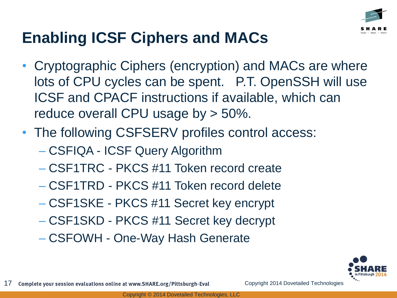

# **Enabling ICSF Ciphers and MACs**

- Cryptographic Ciphers (encryption) and MACs are where lots of CPU cycles can be spent. P.T. OpenSSH will use ICSF and CPACF instructions if available, which can reduce overall CPU usage by > 50%.
- The following CSFSERV profiles control access:
	- CSFIQA ICSF Query Algorithm
	- CSF1TRC PKCS #11 Token record create
	- CSF1TRD PKCS #11 Token record delete
	- CSF1SKE PKCS #11 Secret key encrypt
	- CSF1SKD PKCS #11 Secret key decrypt

– CSFOWH - One-Way Hash Generate

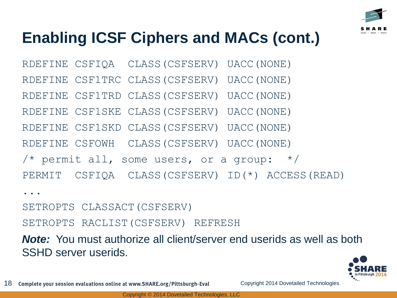

# **Enabling ICSF Ciphers and MACs (cont.)**

RDEFINE CSFIQA CLASS(CSFSERV) UACC(NONE)

- RDEFINE CSF1TRC CLASS(CSFSERV) UACC(NONE)
- RDEFINE CSF1TRD CLASS(CSFSERV) UACC(NONE)

RDEFINE CSF1SKE CLASS(CSFSERV) UACC(NONE)

RDEFINE CSF1SKD CLASS(CSFSERV) UACC(NONE)

RDEFINE CSFOWH CLASS(CSFSERV) UACC(NONE)

/\* permit all, some users, or a group:  $*/$ 

PERMIT CSFIQA CLASS(CSFSERV) ID(\*) ACCESS(READ)

...

SETROPTS CLASSACT(CSFSERV)

SETROPTS RACLIST(CSFSERV) REFRESH

*Note:* You must authorize all client/server end userids as well as both SSHD server userids.

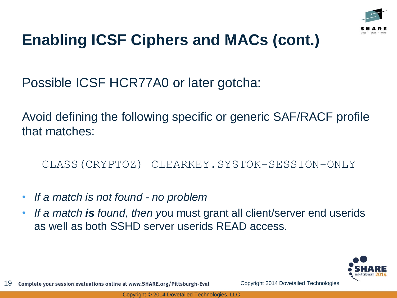

# **Enabling ICSF Ciphers and MACs (cont.)**

Possible ICSF HCR77A0 or later gotcha:

Avoid defining the following specific or generic SAF/RACF profile that matches:

CLASS(CRYPTOZ) CLEARKEY.SYSTOK-SESSION-ONLY

- *If a match is not found - no problem*
- *If a match is found, then y*ou must grant all client/server end userids as well as both SSHD server userids READ access.

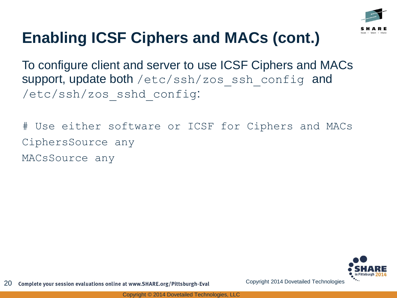

# **Enabling ICSF Ciphers and MACs (cont.)**

To configure client and server to use ICSF Ciphers and MACs support, update both /etc/ssh/zos\_ssh\_config and /etc/ssh/zos\_sshd\_config:

# Use either software or ICSF for Ciphers and MACs CiphersSource any MACsSource any

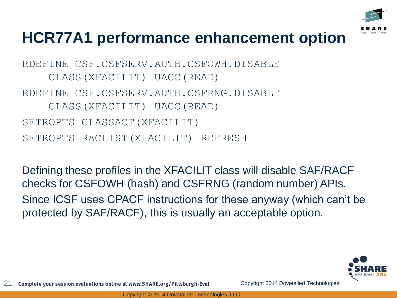

#### **HCR77A1 performance enhancement option**

RDEFINE CSF.CSFSERV.AUTH.CSFOWH.DISABLE CLASS(XFACILIT) UACC(READ) RDEFINE CSF.CSFSERV.AUTH.CSFRNG.DISABLE CLASS(XFACILIT) UACC(READ) SETROPTS CLASSACT(XFACILIT) SETROPTS RACLIST(XFACILIT) REFRESH

Defining these profiles in the XFACILIT class will disable SAF/RACF checks for CSFOWH (hash) and CSFRNG (random number) APIs. Since ICSF uses CPACF instructions for these anyway (which can't be protected by SAF/RACF), this is usually an acceptable option.

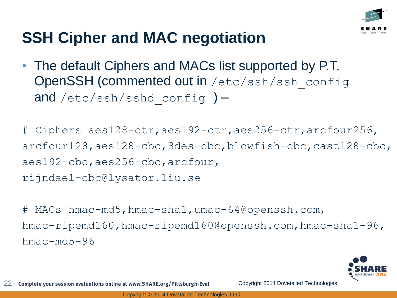

# **SSH Cipher and MAC negotiation**

• The default Ciphers and MACs list supported by P.T. OpenSSH (commented out in /etc/ssh/ssh\_config and /etc/ssh/sshd config  $)$  –

# Ciphers aes128-ctr,aes192-ctr,aes256-ctr,arcfour256, arcfour128,aes128-cbc,3des-cbc,blowfish-cbc,cast128-cbc, aes192-cbc,aes256-cbc,arcfour, rijndael-cbc@lysator.liu.se

# MACs hmac-md5,hmac-sha1,umac-64@openssh.com, hmac-ripemd160,hmac-ripemd160@openssh.com,hmac-sha1-96,  $h$ mac $-md5-96$ 

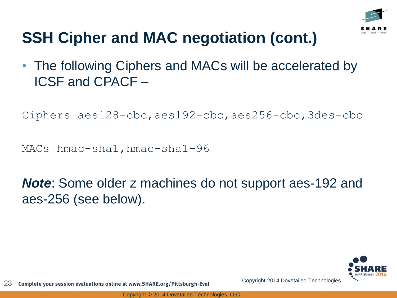

# **SSH Cipher and MAC negotiation (cont.)**

• The following Ciphers and MACs will be accelerated by ICSF and CPACF –

```
Ciphers aes128-cbc,aes192-cbc,aes256-cbc,3des-cbc
```

```
MACs hmac-sha1,hmac-sha1-96
```
*Note*: Some older z machines do not support aes-192 and aes-256 (see below).

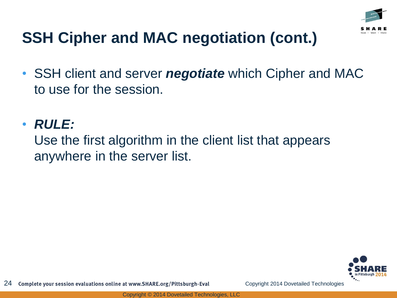

# **SSH Cipher and MAC negotiation (cont.)**

• SSH client and server *negotiate* which Cipher and MAC to use for the session.

#### • *RULE:*

Use the first algorithm in the client list that appears anywhere in the server list.

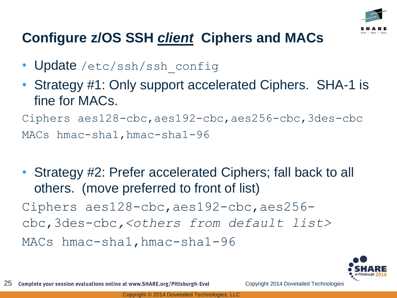

#### **Configure z/OS SSH** *client* **Ciphers and MACs**

- Update /etc/ssh/ssh\_config
- Strategy #1: Only support accelerated Ciphers. SHA-1 is fine for MACs.

Ciphers aes128-cbc,aes192-cbc,aes256-cbc,3des-cbc MACs hmac-sha1,hmac-sha1-96

• Strategy #2: Prefer accelerated Ciphers; fall back to all others. (move preferred to front of list) Ciphers aes128-cbc,aes192-cbc,aes256 cbc,3des-cbc*,<others from default list>* MACs hmac-sha1, hmac-sha1-96

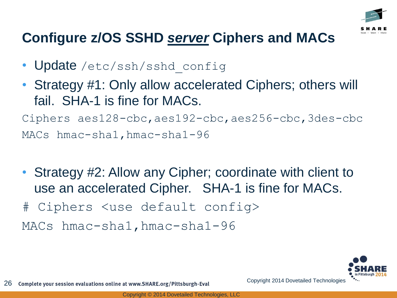

#### **Configure z/OS SSHD** *server* **Ciphers and MACs**

- Update /etc/ssh/sshd config
- Strategy #1: Only allow accelerated Ciphers; others will fail. SHA-1 is fine for MACs.

Ciphers aes128-cbc,aes192-cbc,aes256-cbc,3des-cbc MACs hmac-sha1,hmac-sha1-96

- Strategy #2: Allow any Cipher; coordinate with client to use an accelerated Cipher. SHA-1 is fine for MACs.
- # Ciphers <use default config>

MACs hmac-sha1, hmac-sha1-96

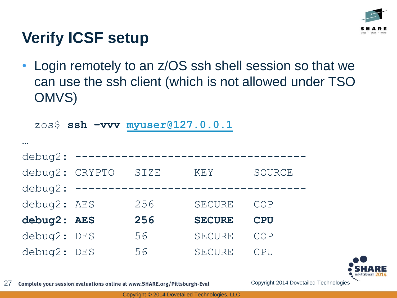

# **Verify ICSF setup**

• Login remotely to an z/OS ssh shell session so that we can use the ssh client (which is not allowed under TSO OMVS)

|                |                            |                    | zos\$ ssh -vvv myuser@127.0.0.1 |            |
|----------------|----------------------------|--------------------|---------------------------------|------------|
|                |                            |                    |                                 |            |
| debug2:        | $\qquad \qquad - \qquad -$ | ------------------ |                                 |            |
| debug2: CRYPTO |                            | SIZE               | KEY                             | SOURCE     |
| debug2:        |                            |                    |                                 |            |
| debug2: AES    |                            | 256                | SECURE                          | COP        |
| debug2: AES    |                            | 256                | <b>SECURE</b>                   | <b>CPU</b> |
| debug2: DES    |                            | 56                 | <b>SECURE</b>                   | COP        |
| debug2: DES    |                            | 56                 | <b>SECURE</b>                   | CPU        |



27 Complete your session evaluations online at www.SHARE.org/Pittsburgh-Eval Copyright 2014 Dovetailed Technologies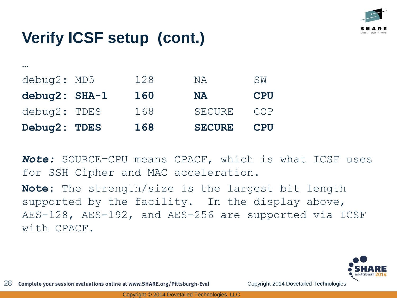

…

| Debug2: TDES  | 168 | <b>SECURE</b> | <b>CPU</b> |
|---------------|-----|---------------|------------|
| debug2: TDES  | 168 | <b>SECURE</b> | COP        |
| debug2: SHA-1 | 160 | <b>NA</b>     | <b>CPU</b> |
| debug2: MD5   | 128 | NA.           | SW         |
|               |     |               |            |

*Note:* SOURCE=CPU means CPACF, which is what ICSF uses for SSH Cipher and MAC acceleration.

**Note:** The strength/size is the largest bit length supported by the facility. In the display above, AES-128, AES-192, and AES-256 are supported via ICSF with CPACF.

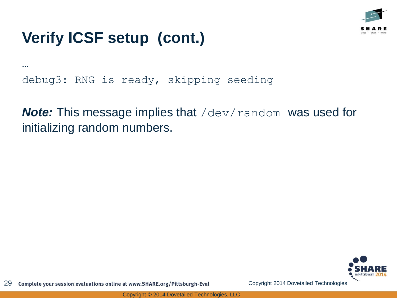

… debug3: RNG is ready, skipping seeding

*Note:* This message implies that /dev/random was used for initializing random numbers.

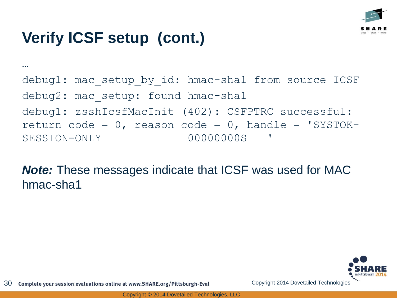

```
…
debug1: mac setup by id: hmac-sha1 from source ICSF
debug2: mac setup: found hmac-sha1
debug1: zsshIcsfMacInit (402): CSFPTRC successful: 
return code = 0, reason code = 0, handle = 'SYSTOK-
SESSION-ONLY 00000000S '
```
*Note:* These messages indicate that ICSF was used for MAC hmac-sha1

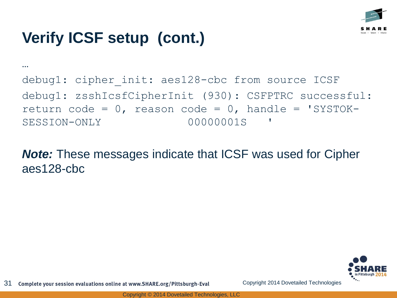

…

debug1: cipher init: aes128-cbc from source ICSF debug1: zsshIcsfCipherInit (930): CSFPTRC successful: return code =  $0$ , reason code =  $0$ , handle = 'SYSTOK-SESSION-ONLY 00000001S '

*Note:* These messages indicate that ICSF was used for Cipher aes128-cbc

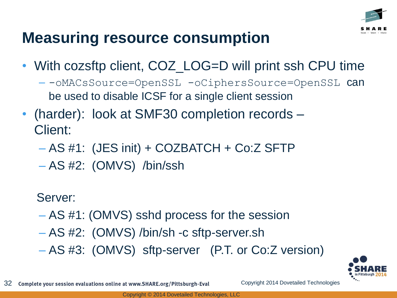

#### **Measuring resource consumption**

- With cozsftp client, COZ\_LOG=D will print ssh CPU time
	- -- oMACsSource=OpenSSL -oCiphersSource=OpenSSL can be used to disable ICSF for a single client session
- (harder): look at SMF30 completion records Client:
	- AS #1: (JES init) + COZBATCH + Co:Z SFTP
	- AS #2: (OMVS) /bin/ssh

Server:

- AS #1: (OMVS) sshd process for the session
- AS #2: (OMVS) /bin/sh -c sftp-server.sh
- AS #3: (OMVS) sftp-server (P.T. or Co:Z version)

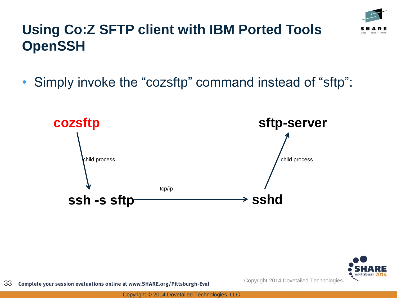

#### **Using Co:Z SFTP client with IBM Ported Tools OpenSSH**

• Simply invoke the "cozsftp" command instead of "sftp":



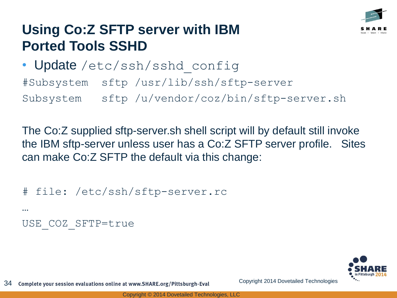

#### **Using Co:Z SFTP server with IBM Ported Tools SSHD**

• Update /etc/ssh/sshd\_config #Subsystem sftp /usr/lib/ssh/sftp-server Subsystem sftp /u/vendor/coz/bin/sftp-server.sh

The Co:Z supplied sftp-server.sh shell script will by default still invoke the IBM sftp-server unless user has a Co:Z SFTP server profile. Sites can make Co:Z SFTP the default via this change:

# file: /etc/ssh/sftp-server.rc … USE\_COZ\_SFTP=true